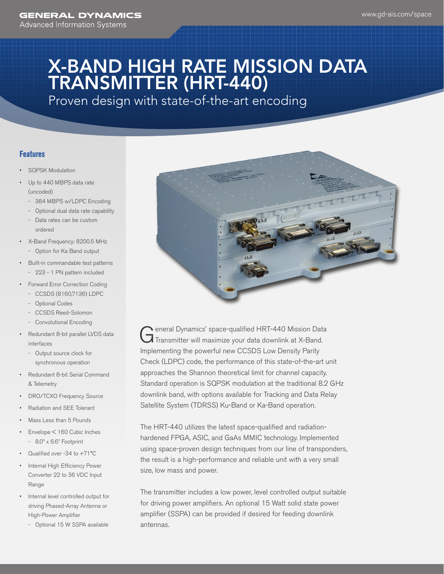# X-BAND HIGH RATE MISSION DATA TRANSMITTER (HRT-440)

Proven design with state-of-the-art encoding

## **Features**

- SQPSK Modulation
- Up to 440 MBPS data rate (uncoded)
	- 384 MBPS w/LDPC Encoding
	- Optional dual data rate capability
	- Data rates can be custom ordered
- X-Band Frequency: 8200.5 MHz
	- Option for Ka Band output
- • Built-in commandable test patterns - 223 - 1 PN pattern included
- **Forward Error Correction Coding** 
	- CCSDS (8160,7136) LDPC
	- Optional Codes
	- CCSDS Reed-Solomon
	- Convolutional Encoding
- Redundant 8-bit parallel LVDS data interfaces
	- Output source clock for synchronous operation
- Redundant 8-bit Serial Command & Telemetry
- DRO/TCXO Frequency Source
- Radiation and SEE Tolerant
- Mass Less than 5 Pounds
- $Envelope < 160$  Cubic Inches - 8.0" x 6.6" Footprint
- Qualified over -34 to  $+71^{\circ}$ C
- Internal High Efficiency Power Converter 22 to 36 VDC Input Range
- Internal level controlled output for driving Phased-Array Antenna or High-Power Amplifier
	- Optional 15 W SSPA available



General Dynamics' space-qualified HRT-440 Mission Data<br>
Transmitter will maximize your data downlink at X-Band. Implementing the powerful new CCSDS Low Density Parity Check (LDPC) code, the performance of this state-of-the-art unit approaches the Shannon theoretical limit for channel capacity. Standard operation is SQPSK modulation at the traditional 8.2 GHz downlink band, with options available for Tracking and Data Relay Satellite System (TDRSS) Ku-Band or Ka-Band operation.

The HRT-440 utilizes the latest space-qualified and radiationhardened FPGA, ASIC, and GaAs MMIC technology. Implemented using space-proven design techniques from our line of transponders, the result is a high-performance and reliable unit with a very small size, low mass and power.

The transmitter includes a low power, level controlled output suitable for driving power amplifiers. An optional 15 Watt solid state power amplifier (SSPA) can be provided if desired for feeding downlink antennas.